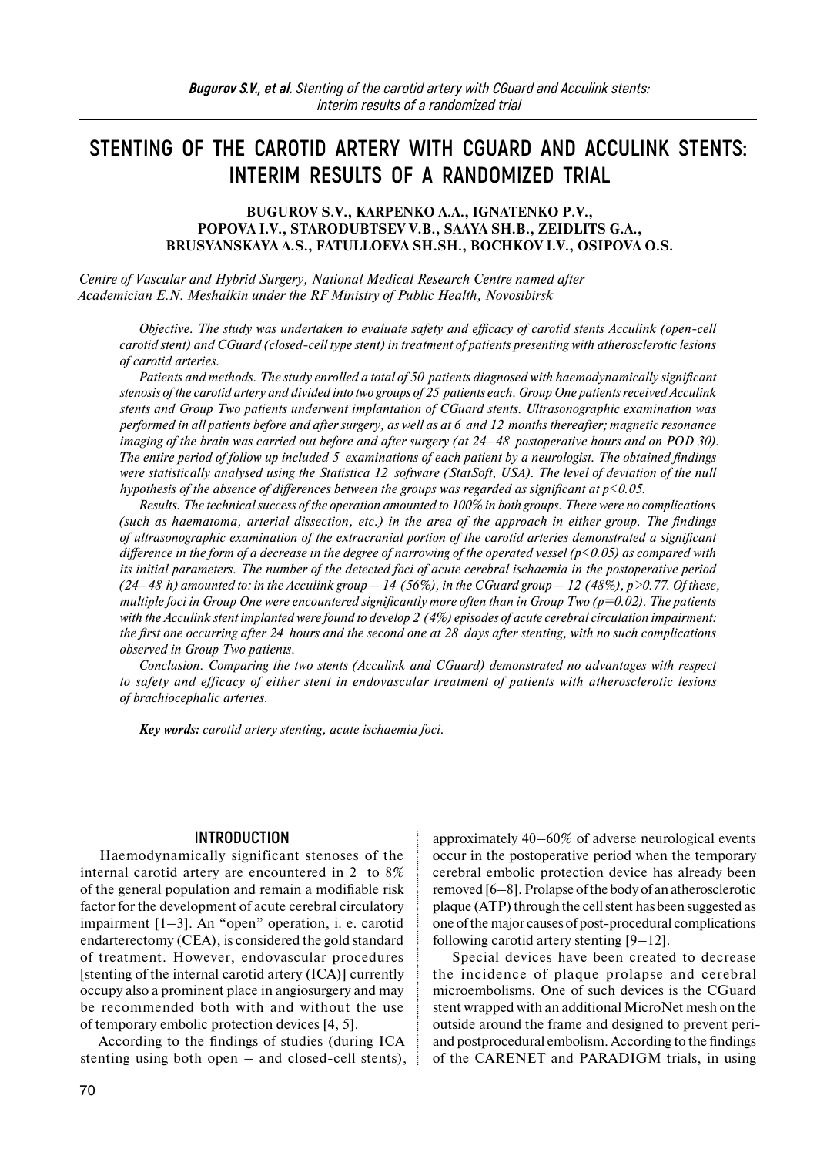# **STENTING OF THE CAROTID ARTERY WITH CGUARD AND ACCULINK STENTS: INTERIM RESULTS OF A RANDOMIZED TRIAL**

**BUGUROV S.V., KARPENKO A.A., IGNATENKO P.V., POPOVA I.V., STARODUBTSEV V.B., SAAYA SH.B., ZEIDLITS G.A., BRUSYANSKAYA A.S., FATULLOEVA SH.SH., BOCHKOV I.V., OSIPOVA O.S.**

*Centre of Vascular and Hybrid Surgery, National Medical Research Centre named after Academician E.N. Meshalkin under the RF Ministry of Public Health, Novosibirsk* 

*Objective. The study was undertaken to evaluate safety and efficacy of carotid stents Acculink (open-cell carotid stent) and CGuard (closed-cell type stent) in treatment of patients presenting with atherosclerotic lesions of carotid arteries.* 

*Patients and methods. The study enrolled a total of 50 patients diagnosed with haemodynamically significant stenosis of the carotid artery and divided into two groups of 25 patients each. Group One patients received Acculink stents and Group Two patients underwent implantation of CGuard stents. Ultrasonographic examination was performed in all patients before and after surgery, as well as at 6 and 12 months thereafter; magnetic resonance imaging of the brain was carried out before and after surgery (at 24–48 postoperative hours and on POD 30). The entire period of follow up included 5 examinations of each patient by a neurologist. The obtained findings were statistically analysed using the Statistica 12 software (StatSoft, USA). The level of deviation of the null hypothesis of the absence of differences between the groups was regarded as significant at p<0.05.* 

*Results. The technical success of the operation amounted to 100% in both groups. There were no complications (such as haematoma, arterial dissection, etc.) in the area of the approach in either group. The findings of ultrasonographic examination of the extracranial portion of the carotid arteries demonstrated a significant difference in the form of a decrease in the degree of narrowing of the operated vessel (p<0.05) as compared with its initial parameters. The number of the detected foci of acute cerebral ischaemia in the postoperative period*   $(24–48 h)$  amounted to: in the Acculink group  $- 14$  (56%), in the CGuard group  $- 12$  (48%), p > 0.77. Of these, *multiple foci in Group One were encountered significantly more often than in Group Two (p=0.02). The patients with the Acculink stent implanted were found to develop 2 (4%) episodes of acute cerebral circulation impairment: the first one occurring after 24 hours and the second one at 28 days after stenting, with no such complications observed in Group Two patients.* 

*Conclusion. Comparing the two stents (Acculink and CGuard) demonstrated no advantages with respect to safety and efficacy of either stent in endovascular treatment of patients with atherosclerotic lesions of brachiocephalic arteries.* 

*Key words: carotid artery stenting, acute ischaemia foci.* 

#### **INTRODUCTION**

Haemodynamically significant stenoses of the internal carotid artery are encountered in 2 to 8% of the general population and remain a modifiable risk factor for the development of acute cerebral circulatory impairment [1–3]. An "open" operation, i. e. carotid endarterectomy (CEA), is considered the gold standard of treatment. However, endovascular procedures [stenting of the internal carotid artery (ICA)] currently occupy also a prominent place in angiosurgery and may be recommended both with and without the use of temporary embolic protection devices [4, 5].

According to the findings of studies (during ICA stenting using both open – and closed-cell stents), approximately 40–60% of adverse neurological events occur in the postoperative period when the temporary cerebral embolic protection device has already been removed [6–8]. Prolapse ofthe body of an atherosclerotic plaque (ATP) through the cell stent has been suggested as one ofthe major causes of post-procedural complications following carotid artery stenting [9–12].

Special devices have been created to decrease the incidence of plaque prolapse and cerebral microembolisms. One of such devices is the CGuard stent wrapped with an additional MicroNet mesh on the outside around the frame and designed to prevent periand postprocedural embolism. According to the findings of the CARENET and PARADIGM trials, in using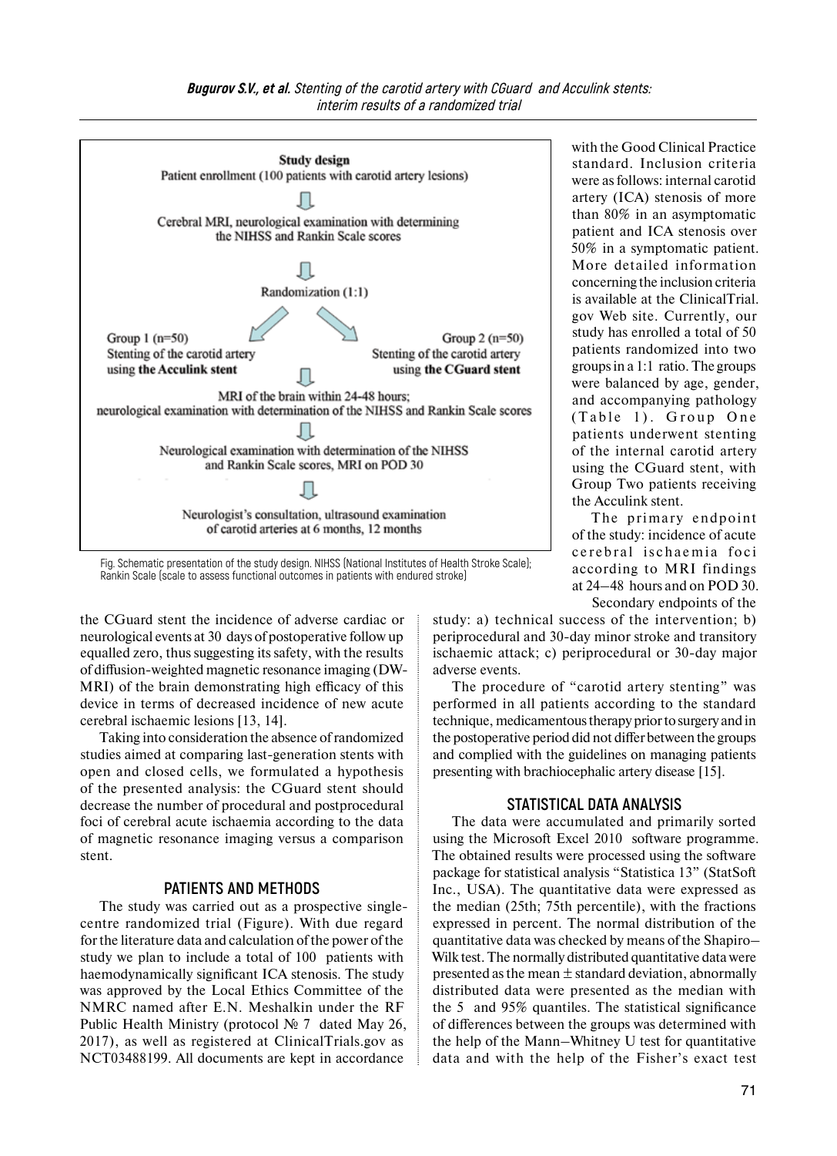

Fig. Schematic presentation of the study design. NIHSS (National Institutes of Health Stroke Scale); Rankin Scale (scale to assess functional outcomes in patients with endured stroke)

the CGuard stent the incidence of adverse cardiac or neurological events at 30 days of postoperative follow up equalled zero, thus suggesting its safety, with the results of diffusion-weighted magnetic resonance imaging (DW-MRI) of the brain demonstrating high efficacy of this device in terms of decreased incidence of new acute cerebral ischaemic lesions [13, 14].

Taking into consideration the absence ofrandomized studies aimed at comparing last-generation stents with open and closed cells, we formulated a hypothesis of the presented analysis: the CGuard stent should decrease the number of procedural and postprocedural foci of cerebral acute ischaemia according to the data of magnetic resonance imaging versus a comparison stent.

## **PATIENTS AND METHODS**

The study was carried out as a prospective singlecentre randomized trial (Figure). With due regard forthe literature data and calculation of the power of the study we plan to include a total of 100 patients with haemodynamically significant ICA stenosis. The study was approved by the Local Ethics Committee of the NMRC named after E.N. Meshalkin under the RF Public Health Ministry (protocol № 7 dated May 26, 2017), as well as registered at ClinicalTrials.gov as NCT03488199. All documents are kept in accordance

with the Good Clinical Practice standard. Inclusion criteria were as follows: internal carotid artery (ICA) stenosis of more than 80% in an asymptomatic patient and ICA stenosis over 50% in a symptomatic patient. More detailed information concerning the inclusion criteria is available at the ClinicalTrial. gov Web site. Currently, our study has enrolled a total of 50 patients randomized into two groups in a 1:1 ratio. The groups were balanced by age, gender, and accompanying pathology (Table 1). Group One patients underwent stenting of the internal carotid artery using the CGuard stent, with Group Two patients receiving the Acculink stent.

The primary endpoint of the study: incidence of acute cerebral ischaemia foci according to MRI findings at 24–48 hours and on POD 30. Secondary endpoints of the

study: a) technical success of the intervention; b) periprocedural and 30-day minor stroke and transitory ischaemic attack; c) periprocedural or 30-day major adverse events.

The procedure of "carotid artery stenting" was performed in all patients according to the standard technique, medicamentous therapy prior to surgery and in the postoperative period did not differ between the groups and complied with the guidelines on managing patients presenting with brachiocephalic artery disease [15].

#### **STATISTICAL DATA ANALYSIS**

The data were accumulated and primarily sorted using the Microsoft Excel 2010 software programme. The obtained results were processed using the software package for statistical analysis "Statistica 13" (StatSoft Inc., USA). The quantitative data were expressed as the median (25th; 75th percentile), with the fractions expressed in percent. The normal distribution of the quantitative data was checked by means of the Shapiro– Wilk test. The normally distributed quantitative data were presented as the mean  $\pm$  standard deviation, abnormally distributed data were presented as the median with the 5 and 95% quantiles. The statistical significance of differences between the groups was determined with the help of the Mann–Whitney U test for quantitative data and with the help of the Fisher's exact test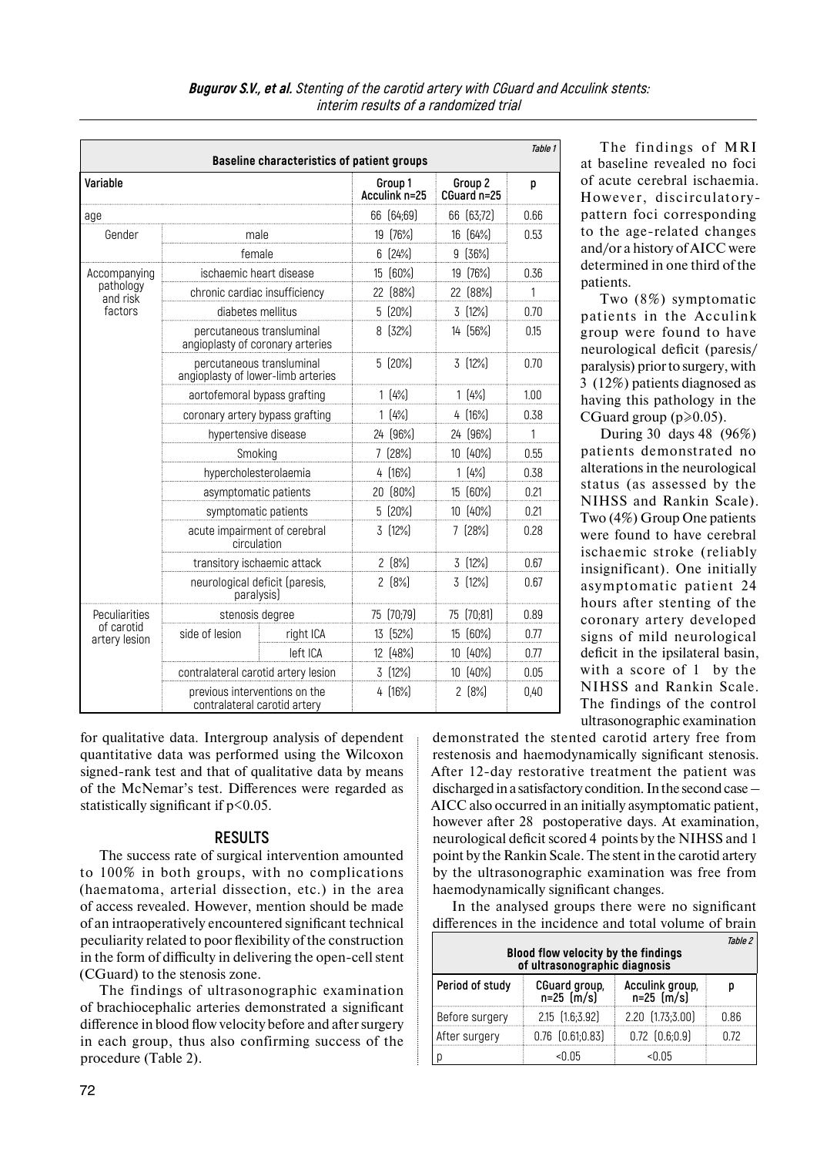| <b>Baseline characteristics of patient groups</b> |                                                                 |           |                          |            | Table 1                |            |      |  |
|---------------------------------------------------|-----------------------------------------------------------------|-----------|--------------------------|------------|------------------------|------------|------|--|
| Variable<br>age                                   |                                                                 |           | Group 1<br>Acculink n=25 |            | Group 2<br>CGuard n=25 |            | p    |  |
|                                                   |                                                                 |           |                          | 66 (64;69) |                        | 66 (63;72) | 0.66 |  |
| Gender                                            | male                                                            |           |                          | 19 (76%)   | 16 (64%)               |            | 0.53 |  |
|                                                   | female                                                          |           | 6.                       | [24%]      | 9                      | [36%]      |      |  |
| Accompanying                                      | ischaemic heart disease                                         |           | $15^{\circ}$             | [60%]      | 19                     | [76%]      | 0.36 |  |
| pathology<br>and risk                             | chronic cardiac insufficiency                                   |           | 22                       | [88%]      | 22                     | [88%]      | 1    |  |
| factors                                           | diabetes mellitus                                               |           |                          | 5 (20%)    | 3                      | [12%]      | 0.70 |  |
|                                                   | percutaneous transluminal<br>angioplasty of coronary arteries   |           |                          | 8[32%]     |                        | 14 (56%)   | 0.15 |  |
|                                                   | percutaneous transluminal<br>angioplasty of lower-limb arteries |           |                          | $5(20\%)$  |                        | 3(12%)     | 0.70 |  |
|                                                   | aortofemoral bypass grafting                                    |           |                          | 1(4%)      |                        | 1(4%)      | 1.00 |  |
|                                                   | coronary artery bypass grafting                                 |           |                          | 1(4%)      |                        | 4 (16%)    | 0.38 |  |
|                                                   | hypertensive disease                                            |           |                          | 24 (96%)   |                        | 24 (96%)   | 1    |  |
|                                                   | Smoking                                                         |           |                          | 7[28%]     |                        | 10 (40%)   | 0.55 |  |
|                                                   | hypercholesterolaemia                                           |           |                          | 4 (16%)    |                        | 1(4%)      | 0.38 |  |
|                                                   | asymptomatic patients                                           |           |                          | 20 (80%)   |                        | 15 (60%)   | 0.21 |  |
|                                                   | symptomatic patients                                            |           |                          | 5 (20%)    |                        | 10 (40%)   | 0.21 |  |
|                                                   | acute impairment of cerebral<br>circulation                     |           |                          | 3 (12%)    |                        | 7 (28%)    | 0.28 |  |
|                                                   | transitory ischaemic attack                                     |           |                          | $2(8\%)$   |                        | 3 (12%)    | 0.67 |  |
|                                                   | neurological deficit (paresis,<br>paralysis)                    |           |                          | 2[8%]      |                        | 3(12%)     | 0.67 |  |
| Peculiarities<br>of carotid<br>artery lesion      | stenosis degree                                                 |           |                          | 75 (70;79) | 75                     | [70;81]    | 0.89 |  |
|                                                   | side of lesion                                                  | right ICA |                          | 13 (52%)   | 15                     | [60%]      | 0.77 |  |
|                                                   |                                                                 | left ICA  |                          | 12 (48%)   | 10 <sup>°</sup>        | [40%]      | 0.77 |  |
|                                                   | contralateral carotid artery lesion                             |           |                          | $3[12\%]$  |                        | 10 (40%)   | 0.05 |  |
|                                                   | previous interventions on the<br>contralateral carotid artery   |           |                          | 4[16%]     |                        | $2(8\%)$   | 0,40 |  |

**Bugurov S.V., et al. Stenting of the carotid artery with CGuard and Acculink stents: interim results of a randomized trial**

for qualitative data. Intergroup analysis of dependent quantitative data was performed using the Wilcoxon signed-rank test and that of qualitative data by means of the McNemar's test. Differences were regarded as statistically significant if  $p<0.05$ .

#### **RESULTS**

The success rate of surgical intervention amounted to 100% in both groups, with no complications (haematoma, arterial dissection, etc.) in the area of access revealed. However, mention should be made of an intraoperatively encountered significant technical peculiarity related to poor flexibility of the construction in the form of difficulty in delivering the open-cell stent (CGuard) to the stenosis zone.

The findings of ultrasonographic examination of brachiocephalic arteries demonstrated a significant difference in blood flow velocity before and after surgery in each group, thus also confirming success of the procedure (Table 2).

The findings of MRI at baseline revealed no foci of acute cerebral ischaemia. However, discirculatorypattern foci corresponding to the age-related changes and/or a history of AICC were determined in one third of the patients.

Two (8%) symptomatic patients in the Acculink group were found to have neurological deficit (paresis/ paralysis) prior to surgery, with 3 (12%) patients diagnosed as having this pathology in the CGuard group ( $p \ge 0.05$ ).

During 30 days 48 (96%) patients demonstrated no alterations in the neurological status (as assessed by the NIHSS and Rankin Scale). Two (4%) Group One patients were found to have cerebral ischaemic stroke (reliably insignificant). One initially asymptomatic patient 24 hours after stenting of the coronary artery developed signs of mild neurological deficit in the ipsilateral basin, with a score of 1 by the NIHSS and Rankin Scale. The findings of the control ultrasonographic examination

demonstrated the stented carotid artery free from restenosis and haemodynamically significant stenosis. After 12-day restorative treatment the patient was discharged in a satisfactory condition. In the second case -AICC also occurred in an initially asymptomatic patient, however after 28 postoperative days. At examination, neurological deficit scored 4 points by the NIHSS and 1 point by the Rankin Scale. The stent in the carotid artery by the ultrasonographic examination was free from haemodynamically significant changes.

In the analysed groups there were no significant differences in the incidence and total volume of brain

| <i>Table 2</i><br>Blood flow velocity by the findings<br>of ultrasonographic diagnosis |                             |                               |      |  |  |  |
|----------------------------------------------------------------------------------------|-----------------------------|-------------------------------|------|--|--|--|
| Period of study                                                                        | CGuard group,<br>n=25 (m/s) | Acculink group,<br>n=25 (m/s) |      |  |  |  |
| Before surgery                                                                         | 2.15 (1.6;3.92)             | 2.20 [1.73;3.00]              | 0.86 |  |  |  |
| After surgery                                                                          | $0.76$ $(0.61;0.83)$        | $0.72$ $(0.6;0.9)$            | በ 72 |  |  |  |
|                                                                                        | <በ በ5                       | <በ በ5                         |      |  |  |  |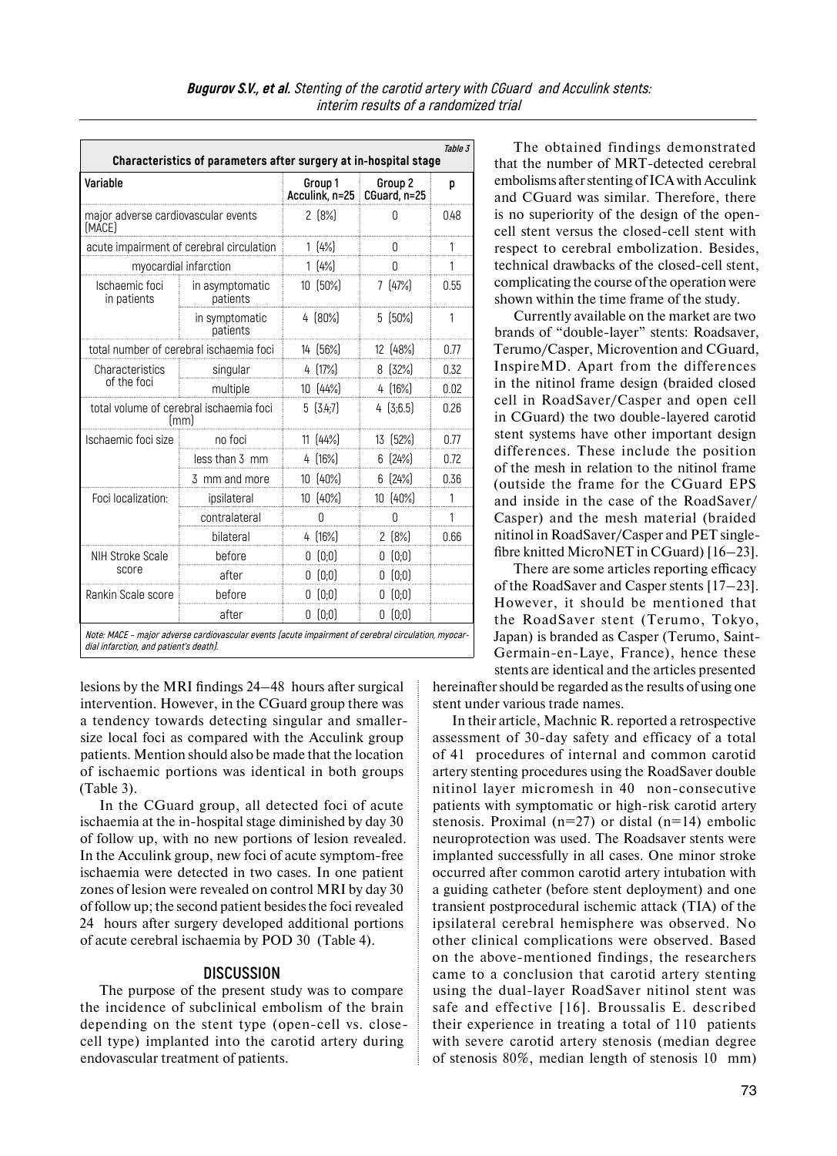| Variable<br>major adverse cardiovascular events<br>(MACE)<br>acute impairment of cerebral circulation |                             |  | Group 1<br>Acculink, n=25 CGuard, n=25 | Group <sub>2</sub> | p    |  |
|-------------------------------------------------------------------------------------------------------|-----------------------------|--|----------------------------------------|--------------------|------|--|
|                                                                                                       |                             |  |                                        |                    |      |  |
|                                                                                                       |                             |  | $2(8\%)$                               | Ω                  | 0.48 |  |
|                                                                                                       |                             |  | 1(4%)                                  |                    |      |  |
| myocardial infarction                                                                                 |                             |  | 1(4%)                                  |                    | 1    |  |
| Ischaemic foci<br>in patients                                                                         | in asymptomatic<br>patients |  | 10 (50%)                               | 7(47%)             | 0.55 |  |
|                                                                                                       | in symptomatic<br>patients  |  | 4 [80%]                                | $5 \, 50\%$        | 1    |  |
| total number of cerebral ischaemia foci                                                               |                             |  | 14 (56%)                               | 12 (48%)           | 0.77 |  |
| Characteristics                                                                                       | singular                    |  | 4 (17%)                                | 8[32%]             | 0.32 |  |
| of the foci                                                                                           | multiple                    |  | 10 (44%)                               | 4 (16%)            | 0.02 |  |
| total volume of cerebral ischaemia foci<br>[mm]                                                       |                             |  | 5(3.4;7)                               | 4[3;6.5]           | 0.26 |  |
| Ischaemic foci size                                                                                   | no foci                     |  | 11 [44%]                               | 13 (52%)           | 0.77 |  |
|                                                                                                       | less than 3 mm              |  | 4 [16%]                                | 6[24%]             | 0.72 |  |
|                                                                                                       | 3 mm and more               |  | 10 (40%)                               | 6[24%]             | 0.36 |  |
| Foci localization:                                                                                    | ipsilateral                 |  | 10 (40%)                               | 10 (40%)           | 1    |  |
|                                                                                                       | contralateral               |  | Ŋ                                      | Ŋ                  | 1    |  |
|                                                                                                       | bilateral                   |  | 4[16%]                                 | $2(8\%)$           | 0.66 |  |
| <b>NIH Stroke Scale</b>                                                                               | before                      |  | 0(0;0)                                 | 0(0;0)             |      |  |
| score                                                                                                 | after                       |  | 0(0;0)                                 | 0(0;0)             |      |  |
| Rankin Scale score                                                                                    | before                      |  | 0(0;0)                                 | 0(0;0)             |      |  |
|                                                                                                       | after                       |  | 0(0;0)                                 | 0(0;0)             |      |  |

**dial infarction, and patient's death).** 

lesions by the MRI findings 24–48 hours after surgical intervention. However, in the CGuard group there was a tendency towards detecting singular and smallersize local foci as compared with the Acculink group patients. Mention should also be made that the location of ischaemic portions was identical in both groups (Table 3).

In the CGuard group, all detected foci of acute ischaemia at the in-hospital stage diminished by day 30 of follow up, with no new portions of lesion revealed. In the Acculink group, new foci of acute symptom-free ischaemia were detected in two cases. In one patient zones of lesion were revealed on control MRI by day 30 of follow up; the second patient besides the foci revealed 24 hours after surgery developed additional portions of acute cerebral ischaemia by POD 30 (Table 4).

## **DISCUSSION**

The purpose of the present study was to compare the incidence of subclinical embolism of the brain depending on the stent type (open-cell vs. closecell type) implanted into the carotid artery during endovascular treatment of patients.

The obtained findings demonstrated that the number of MRT-detected cerebral embolisms after stenting ofICA with Acculink and CGuard was similar. Therefore, there is no superiority of the design of the opencell stent versus the closed-cell stent with respect to cerebral embolization. Besides, technical drawbacks of the closed-cell stent, complicating the course of the operation were shown within the time frame of the study.

Currently available on the market are two brands of "double-layer" stents: Roadsaver, Terumo/Casper, Microvention and CGuard, InspireMD. Apart from the differences in the nitinol frame design (braided closed cell in RoadSaver/Casper and open cell in CGuard) the two double-layered carotid stent systems have other important design differences. These include the position of the mesh in relation to the nitinol frame (outside the frame for the CGuard EPS and inside in the case of the RoadSaver/ Casper) and the mesh material (braided nitinol in RoadSaver/Casper and PET singlefibre knitted MicroNET in CGuard) [16–23].

There are some articles reporting efficacy of the RoadSaver and Casper stents [17–23]. However, it should be mentioned that the RoadSaver stent (Terumo, Tokyo, Japan) is branded as Casper (Terumo, Saint-Germain-en-Laye, France), hence these stents are identical and the articles presented

hereinafter should be regarded as the results of using one stent under various trade names.

In their article, Machnic R. reported a retrospective assessment of 30-day safety and efficacy of a total of 41 procedures of internal and common carotid artery stenting procedures using the RoadSaver double nitinol layer micromesh in 40 non-consecutive patients with symptomatic or high-risk carotid artery stenosis. Proximal ( $n=27$ ) or distal ( $n=14$ ) embolic neuroprotection was used. The Roadsaver stents were implanted successfully in all cases. One minor stroke occurred after common carotid artery intubation with a guiding catheter (before stent deployment) and one transient postprocedural ischemic attack (TIA) of the ipsilateral cerebral hemisphere was observed. No other clinical complications were observed. Based on the above-mentioned findings, the researchers came to a conclusion that carotid artery stenting using the dual-layer RoadSaver nitinol stent was safe and effective [16]. Broussalis Е. described their experience in treating a total of 110 patients with severe carotid artery stenosis (median degree of stenosis 80%, median length of stenosis 10 mm)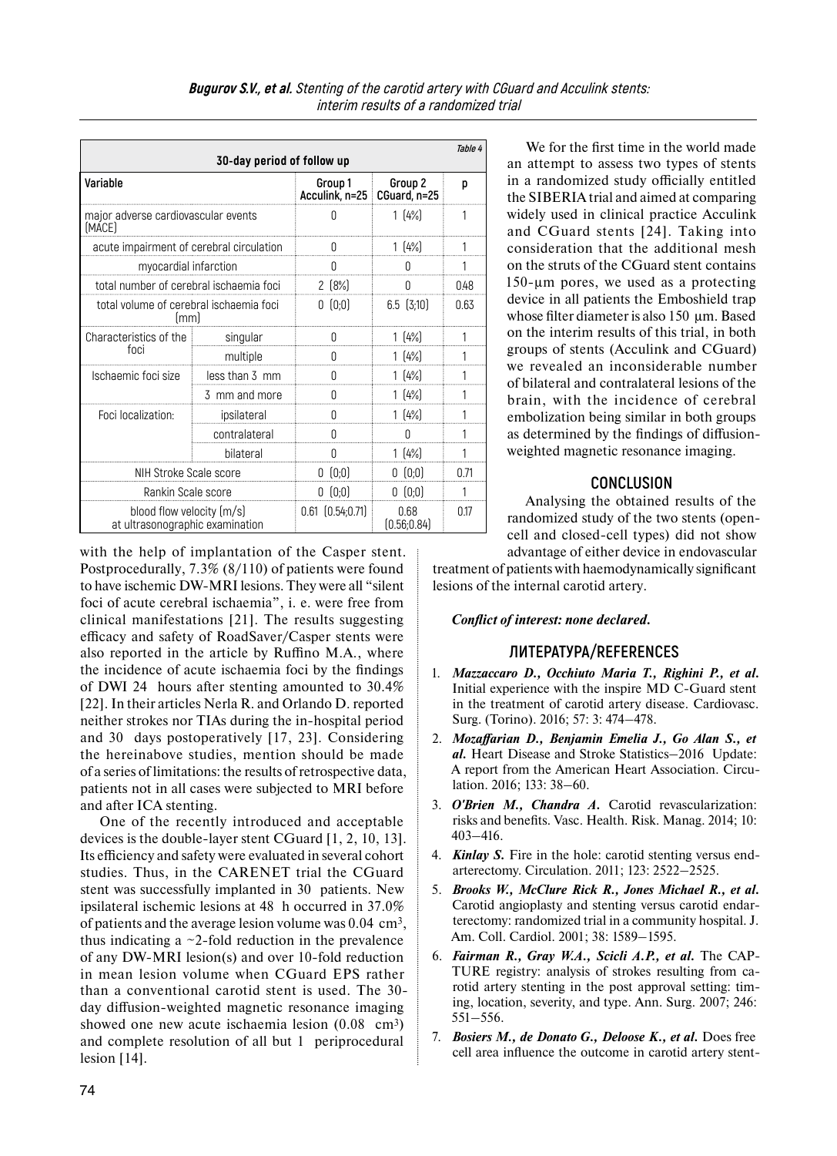| Table 4<br>30-day period of follow up                        |                |                                          |                      |      |  |  |
|--------------------------------------------------------------|----------------|------------------------------------------|----------------------|------|--|--|
| Variable                                                     |                | Group 1<br>Acculink, n=25   CGuard, n=25 | Group 2              | p    |  |  |
| major adverse cardiovascular events<br>(MACE)                |                | Λ                                        | 1(4%)                | 1    |  |  |
| acute impairment of cerebral circulation                     |                | O                                        | 1(4%)                |      |  |  |
| myocardial infarction                                        | Ŋ              | n                                        |                      |      |  |  |
| total number of cerebral ischaemia foci                      | $2(8\%)$       | Ω                                        | 0.48                 |      |  |  |
| total volume of cerebral ischaemia foci<br>lmml              |                | 0(0;0)                                   | $6.5$ $(3,10)$       | 0.63 |  |  |
| Characteristics of the<br>foci                               | singular       |                                          | 1(4%)                |      |  |  |
|                                                              | multiple       |                                          | 1(4%)                |      |  |  |
| Ischaemic foci size                                          | less than 3 mm |                                          | 1(4%)                |      |  |  |
|                                                              | 3 mm and more  | N                                        | 1(4%)                |      |  |  |
| Foci localization:                                           | ipsilateral    | N                                        | 1(4%)                |      |  |  |
|                                                              | contralateral  | Ŋ                                        | 0                    |      |  |  |
|                                                              | bilateral      | 0                                        | 1(4%)                | 1    |  |  |
| NIH Stroke Scale score                                       |                | 0(0;0)                                   | 0(0;0)               | 0.71 |  |  |
| Rankin Scale score                                           |                | 0(0;0)                                   | 0(0;0)               |      |  |  |
| blood flow velocity [m/s]<br>at ultrasonographic examination |                | $0.61$ $(0.54;0.71)$                     | 0.68<br>[0.56; 0.84] | 017  |  |  |

with the help of implantation of the Casper stent. Postprocedurally, 7.3% (8/110) of patients were found to have ischemic DW-MRI lesions. They were all "silent foci of acute cerebral ischaemia", i. e. were free from clinical manifestations [21]. The results suggesting efficacy and safety of RoadSaver/Casper stents were also reported in the article by Ruffino M.A., where the incidence of acute ischaemia foci by the findings of DWI 24 hours after stenting amounted to 30.4% [22]. In their articles Nerla R. and Orlando D. reported neither strokes nor TIAs during the in-hospital period and 30 days postoperatively [17, 23]. Considering the hereinabove studies, mention should be made of a series of limitations: the results of retrospective data, patients not in all cases were subjected to MRI before and after ICA stenting.

One of the recently introduced and acceptable devices is the double-layer stent CGuard [1, 2, 10, 13]. Its efficiency and safety were evaluated in several cohort studies. Thus, in the CARENET trial the CGuard stent was successfully implanted in 30 patients. New ipsilateral ischemic lesions at 48 h occurred in 37.0% of patients and the average lesion volume was  $0.04 \text{ cm}^3$ , thus indicating a  $\sim$ 2-fold reduction in the prevalence of any DW-MRI lesion(s) and over 10-fold reduction in mean lesion volume when CGuard EPS rather than a conventional carotid stent is used. The 30 day diffusion-weighted magnetic resonance imaging showed one new acute ischaemia lesion (0.08 cm<sup>3</sup>) and complete resolution of all but 1 periprocedural lesion [14].

We for the first time in the world made an attempt to assess two types of stents in a randomized study officially entitled the SIBERIA trial and aimed at comparing widely used in clinical practice Acculink and CGuard stents [24]. Taking into consideration that the additional mesh on the struts of the CGuard stent contains 150-µm pores, we used as a protecting device in all patients the Emboshield trap whose filter diameter is also 150 um. Based on the interim results of this trial, in both groups of stents (Acculink and CGuard) we revealed an inconsiderable number of bilateral and contralateral lesions of the brain, with the incidence of cerebral embolization being similar in both groups as determined by the findings of diffusionweighted magnetic resonance imaging.

# **CONCLUSION**

Analysing the obtained results of the randomized study of the two stents (opencell and closed-cell types) did not show advantage of either device in endovascular

treatment of patients with haemodynamically significant lesions of the internal carotid artery.

## *Conflict of interest: none declared.*

# **ЛИТЕРАТУРА/REFERENCES**

- 1. *Mazzaccaro D., Occhiuto Maria T., Righini P., et al.*  Initial experience with the inspire MD C-Guard stent in the treatment of carotid artery disease. Cardiovasc. Surg. (Torino). 2016; 57: 3: 474–478.
- 2. *Mozaffarian D., Benjamin Emelia J., Go Alan S., et al.* Heart Disease and Stroke Statistics–2016 Update: A report from the American Heart Association. Circulation. 2016; 133: 38–60.
- 3. *O'Brien M., Chandra A.* Carotid revascularization: risks and benefits. Vasc. Health. Risk. Manag. 2014; 10: 403–416.
- 4. **Kinlay S.** Fire in the hole: carotid stenting versus endarterectomy. Circulation. 2011; 123: 2522–2525.
- 5. *Brooks W., McClure Rick R., Jones Michael R., et al.*  Carotid angioplasty and stenting versus carotid endarterectomy: randomized trial in a community hospital. J. Am. Coll. Cardiol. 2001; 38: 1589–1595.
- 6. *Fairman R., Gray W.A., Scicli A.P., et al.* The CAP-TURE registry: analysis of strokes resulting from carotid artery stenting in the post approval setting: timing, location, severity, and type. Ann. Surg. 2007; 246: 551–556.
- 7. *Bosiers M., de Donato G., Deloose K., et al.* Does free cell area influence the outcome in carotid artery stent-